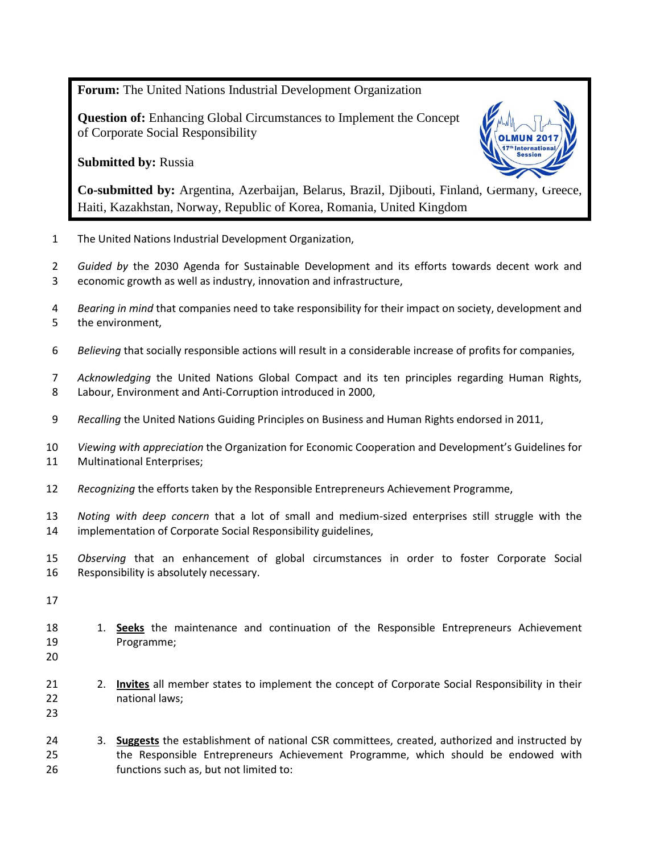**Forum:** The United Nations Industrial Development Organization

**Question of:** Enhancing Global Circumstances to Implement the Concept of Corporate Social Responsibility

## **Submitted by:** Russia



**Co-submitted by:** Argentina, Azerbaijan, Belarus, Brazil, Djibouti, Finland, Germany, Greece, Haiti, Kazakhstan, Norway, Republic of Korea, Romania, United Kingdom

The United Nations Industrial Development Organization,

 *Guided by* the 2030 Agenda for Sustainable Development and its efforts towards decent work and economic growth as well as industry, innovation and infrastructure,

- *Bearing in mind* that companies need to take responsibility for their impact on society, development and the environment,
- *Believing* that socially responsible actions will result in a considerable increase of profits for companies,

 *Acknowledging* the United Nations Global Compact and its ten principles regarding Human Rights, Labour, Environment and Anti-Corruption introduced in 2000,

- *Recalling* the United Nations Guiding Principles on Business and Human Rights endorsed in 2011,
- *Viewing with appreciation* the Organization for Economic Cooperation and Development's Guidelines for Multinational Enterprises;
- *Recognizing* the efforts taken by the Responsible Entrepreneurs Achievement Programme,
- *Noting with deep concern* that a lot of small and medium-sized enterprises still struggle with the implementation of Corporate Social Responsibility guidelines,
- *Observing* that an enhancement of global circumstances in order to foster Corporate Social Responsibility is absolutely necessary.
- 
- 18 1. **Seeks** the maintenance and continuation of the Responsible Entrepreneurs Achievement Programme;
- 
- 2. **Invites** all member states to implement the concept of Corporate Social Responsibility in their national laws;

 3. **Suggests** the establishment of national CSR committees, created, authorized and instructed by the Responsible Entrepreneurs Achievement Programme, which should be endowed with functions such as, but not limited to: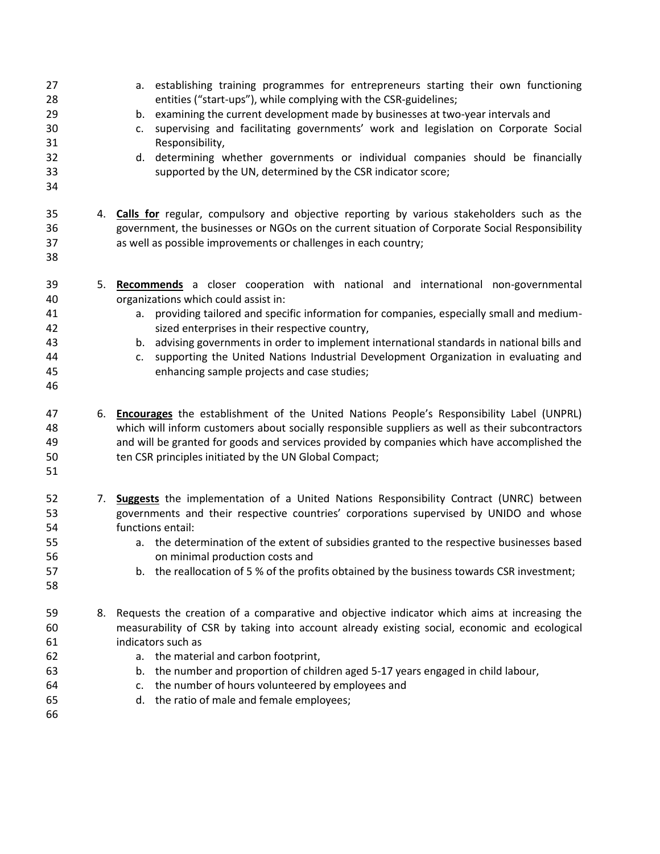| 27<br>28<br>29<br>30<br>31<br>32<br>33<br>34 |    | a. establishing training programmes for entrepreneurs starting their own functioning<br>entities ("start-ups"), while complying with the CSR-guidelines;<br>b. examining the current development made by businesses at two-year intervals and<br>supervising and facilitating governments' work and legislation on Corporate Social<br>c.<br>Responsibility,<br>d. determining whether governments or individual companies should be financially<br>supported by the UN, determined by the CSR indicator score;     |
|----------------------------------------------|----|---------------------------------------------------------------------------------------------------------------------------------------------------------------------------------------------------------------------------------------------------------------------------------------------------------------------------------------------------------------------------------------------------------------------------------------------------------------------------------------------------------------------|
| 35<br>36<br>37<br>38                         |    | 4. Calls for regular, compulsory and objective reporting by various stakeholders such as the<br>government, the businesses or NGOs on the current situation of Corporate Social Responsibility<br>as well as possible improvements or challenges in each country;                                                                                                                                                                                                                                                   |
| 39<br>40<br>41<br>42<br>43<br>44<br>45<br>46 | 5. | Recommends a closer cooperation with national and international non-governmental<br>organizations which could assist in:<br>a. providing tailored and specific information for companies, especially small and medium-<br>sized enterprises in their respective country,<br>b. advising governments in order to implement international standards in national bills and<br>supporting the United Nations Industrial Development Organization in evaluating and<br>c.<br>enhancing sample projects and case studies; |
| 47<br>48<br>49<br>50<br>51                   |    | 6. Encourages the establishment of the United Nations People's Responsibility Label (UNPRL)<br>which will inform customers about socially responsible suppliers as well as their subcontractors<br>and will be granted for goods and services provided by companies which have accomplished the<br>ten CSR principles initiated by the UN Global Compact;                                                                                                                                                           |
| 52<br>53<br>54<br>55<br>56<br>57<br>58       |    | 7. <b>Suggests</b> the implementation of a United Nations Responsibility Contract (UNRC) between<br>governments and their respective countries' corporations supervised by UNIDO and whose<br>functions entail:<br>a. the determination of the extent of subsidies granted to the respective businesses based<br>on minimal production costs and<br>b. the reallocation of 5 % of the profits obtained by the business towards CSR investment;                                                                      |
| 59<br>60<br>61<br>62<br>63<br>64<br>65<br>66 | 8. | Requests the creation of a comparative and objective indicator which aims at increasing the<br>measurability of CSR by taking into account already existing social, economic and ecological<br>indicators such as<br>a. the material and carbon footprint,<br>b. the number and proportion of children aged 5-17 years engaged in child labour,<br>c. the number of hours volunteered by employees and<br>d. the ratio of male and female employees;                                                                |